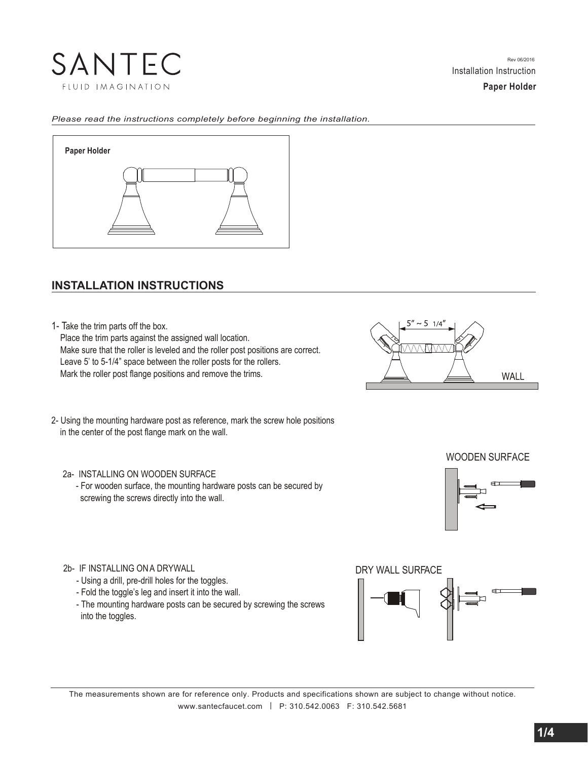

**Paper Holder**

#### *Please read the instructions completely before beginning the installation.*



# **INSTALLATION INSTRUCTIONS**

1- Take the trim parts off the box.

 Place the trim parts against the assigned wall location. Make sure that the roller is leveled and the roller post positions are correct. Leave 5' to 5-1/4" space between the roller posts for the rollers. Mark the roller post flange positions and remove the trims.



2- Using the mounting hardware post as reference, mark the screw hole positions in the center of the post flange mark on the wall.

- 2a- INSTALLING ON WOODEN SURFACE
	- For wooden surface, the mounting hardware posts can be secured by screwing the screws directly into the wall.



WOODEN SURFACE

- 2b- IF INSTALLING ON A DRYWALL
	- Using a drill, pre-drill holes for the toggles.
	- Fold the toggle's leg and insert it into the wall.
	- The mounting hardware posts can be secured by screwing the screws into the toggles.

DRY WALL SURFACE



The measurements shown are for reference only. Products and specifications shown are subject to change without notice. www.santecfaucet.com | P: 310.542.0063 F: 310.542.5681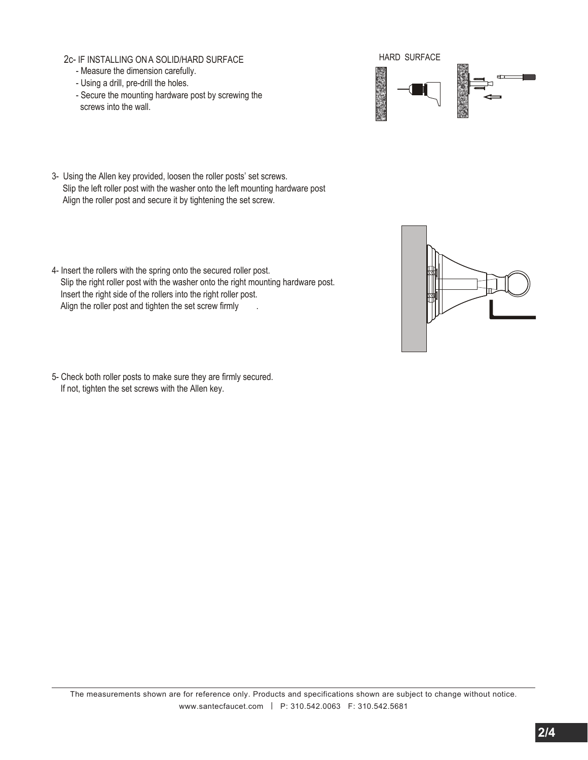- 2c- IF INSTALLING ON A SOLID/HARD SURFACE
	- Measure the dimension carefully.
	- Using a drill, pre-drill the holes.
	- Secure the mounting hardware post by screwing the screws into the wall.



- 3- Using the Allen key provided, loosen the roller posts' set screws. Slip the left roller post with the washer onto the left mounting hardware post Align the roller post and secure it by tightening the set screw.
- 4- Insert the rollers with the spring onto the secured roller post. Slip the right roller post with the washer onto the right mounting hardware post. Insert the right side of the rollers into the right roller post. Align the roller post and tighten the set screw firmly



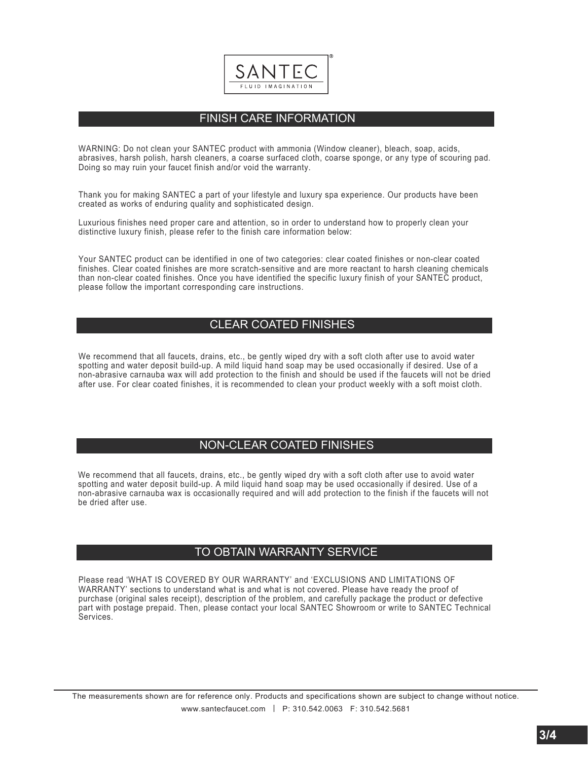

# FINISH CARE INFORMATION

WARNING: Do not clean your SANTEC product with ammonia (Window cleaner), bleach, soap, acids, abrasives, harsh polish, harsh cleaners, a coarse surfaced cloth, coarse sponge, or any type of scouring pad. Doing so may ruin your faucet finish and/or void the warranty.

Thank you for making SANTEC a part of your lifestyle and luxury spa experience. Our products have been created as works of enduring quality and sophisticated design.

Luxurious finishes need proper care and attention, so in order to understand how to properly clean your distinctive luxury finish, please refer to the finish care information below:

Your SANTEC product can be identified in one of two categories: clear coated finishes or non-clear coated finishes. Clear coated finishes are more scratch-sensitive and are more reactant to harsh cleaning chemicals than non-clear coated finishes. Once you have identified the specific luxury finish of your SANTEC product, please follow the important corresponding care instructions.

#### CLEAR COATED FINISHES

We recommend that all faucets, drains, etc., be gently wiped dry with a soft cloth after use to avoid water spotting and water deposit build-up. A mild liquid hand soap may be used occasionally if desired. Use of a non-abrasive carnauba wax will add protection to the finish and should be used if the faucets will not be dried after use. For clear coated finishes, it is recommended to clean your product weekly with a soft moist cloth.

#### NON-CLEAR COATED FINISHES

We recommend that all faucets, drains, etc., be gently wiped dry with a soft cloth after use to avoid water spotting and water deposit build-up. A mild liquid hand soap may be used occasionally if desired. Use of a non-abrasive carnauba wax is occasionally required and will add protection to the finish if the faucets will not be dried after use.

# TO OBTAIN WARRANTY SERVICE

Please read 'WHAT IS COVERED BY OUR WARRANTY' and 'EXCLUSIONS AND LIMITATIONS OF WARRANTY' sections to understand what is and what is not covered. Please have ready the proof of purchase (original sales receipt), description of the problem, and carefully package the product or defective part with postage prepaid. Then, please contact your local SANTEC Showroom or write to SANTEC Technical Services.

The measurements shown are for reference only. Products and specifications shown are subject to change without notice. www.santecfaucet.com | P: 310.542.0063 F: 310.542.5681